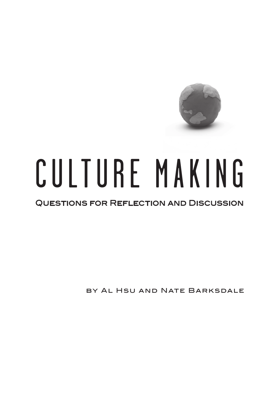

# CULTURE MAKING

# Questions for Reflection and Discussion

by Al Hsu and Nate Barksdale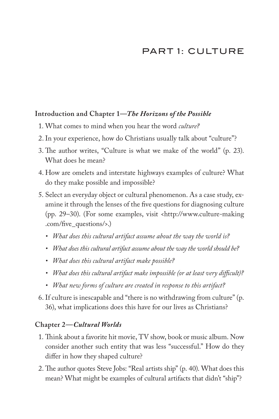# PART 1: CULTURE

# **Introduction and Chapter 1—***The Horizons of the Possible*

- 1. What comes to mind when you hear the word *culture?*
- 2.In your experience, how do Christians usually talk about "culture"?
- 3. The author writes, "Culture is what we make of the world" (p. 23). What does he mean?
- 4. How are omelets and interstate highways examples of culture? What do they make possible and impossible?
- 5. Select an everyday object or cultural phenomenon. As a case study, examine it through the lenses of the five questions for diagnosing culture (pp. 29–30). (For some examples, visit <http://www.culture-making .com/five\_questions/>.)
	- *• What does this cultural artifact assume about the way the world is?*
	- *• What does this cultural artifact assume about the way the world should be?*
	- *• What does this cultural artifact make possible?*
	- *• What does this cultural artifact make impossible (or at least very difficult)?*
	- *• What new forms of culture are created in response to this artifact?*
- 6. If culture is inescapable and "there is no withdrawing from culture" (p. 36), what implications does this have for our lives as Christians?

# **Chapter 2—***Cultural Worlds*

- 1. Think about a favorite hit movie, TV show, book or music album. Now consider another such entity that was less "successful." How do they differ in how they shaped culture?
- 2. The author quotes Steve Jobs: "Real artists ship" (p. 40). What does this mean? What might be examples of cultural artifacts that didn't "ship"?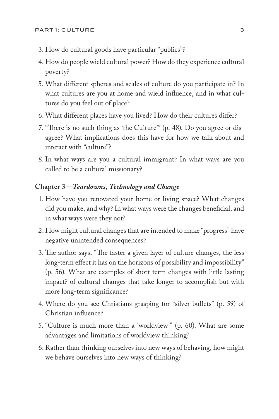- 3. How do cultural goods have particular "publics"?
- 4. How do people wield cultural power? How do they experience cultural poverty?
- 5. What different spheres and scales of culture do you participate in? In what cultures are you at home and wield influence, and in what cultures do you feel out of place?
- 6. What different places have you lived? How do their cultures differ?
- 7. "There is no such thing as 'the Culture'" (p. 48). Do you agree or disagree? What implications does this have for how we talk about and interact with "culture"?
- 8. In what ways are you a cultural immigrant? In what ways are you called to be a cultural missionary?

## **Chapter 3—***Teardowns, Technology and Change*

- 1. How have you renovated your home or living space? What changes did you make, and why? In what ways were the changes beneficial, and in what ways were they not?
- 2. How might cultural changes that are intended to make "progress" have negative unintended consequences?
- 3. The author says, "The faster a given layer of culture changes, the less long-term effect it has on the horizons of possibility and impossibility" (p. 56). What are examples of short-term changes with little lasting impact? of cultural changes that take longer to accomplish but with more long-term significance?
- 4. Where do you see Christians grasping for "silver bullets" (p. 59) of Christian influence?
- 5. "Culture is much more than a 'worldview'" (p. 60). What are some advantages and limitations of worldview thinking?
- 6. Rather than thinking ourselves into new ways of behaving, how might we behave ourselves into new ways of thinking?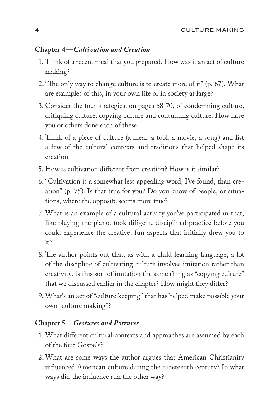#### **Chapter 4—***Cultivation and Creation*

- 1. Think of a recent meal that you prepared. How was it an act of culture making?
- 2. "The only way to change culture is to create more of it" (p. 67). What are examples of this, in your own life or in society at large?
- 3. Consider the four strategies, on pages 68-70, of condemning culture, critiquing culture, copying culture and consuming culture. How have you or others done each of these?
- 4. Think of a piece of culture (a meal, a tool, a movie, a song) and list a few of the cultural contexts and traditions that helped shape its creation.
- 5. How is cultivation different from creation? How is it similar?
- 6. "Cultivation is a somewhat less appealing word, I've found, than creation" (p. 75). Is that true for you? Do you know of people, or situations, where the opposite seems more true?
- 7. What is an example of a cultural activity you've participated in that, like playing the piano, took diligent, disciplined practice before you could experience the creative, fun aspects that initially drew you to it?
- 8. The author points out that, as with a child learning language, a lot of the discipline of cultivating culture involves imitation rather than creativity. Is this sort of imitation the same thing as "copying culture" that we discussed earlier in the chapter? How might they differ?
- 9. What's an act of "culture keeping" that has helped make possible your own "culture making"?

#### **Chapter 5—***Gestures and Postures*

- 1. What different cultural contexts and approaches are assumed by each of the four Gospels?
- 2. What are some ways the author argues that American Christianity influenced American culture during the nineteenth century? In what ways did the influence run the other way?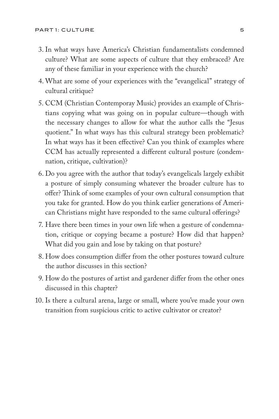- 3. In what ways have America's Christian fundamentalists condemned culture? What are some aspects of culture that they embraced? Are any of these familiar in your experience with the church?
- 4. What are some of your experiences with the "evangelical" strategy of cultural critique?
- 5. CCM (Christian Contemporay Music) provides an example of Christians copying what was going on in popular culture—though with the necessary changes to allow for what the author calls the "Jesus quotient." In what ways has this cultural strategy been problematic? In what ways has it been effective? Can you think of examples where CCM has actually represented a different cultural posture (condemnation, critique, cultivation)?
- 6. Do you agree with the author that today's evangelicals largely exhibit a posture of simply consuming whatever the broader culture has to offer? Think of some examples of your own cultural consumption that you take for granted. How do you think earlier generations of American Christians might have responded to the same cultural offerings?
- 7. Have there been times in your own life when a gesture of condemnation, critique or copying became a posture? How did that happen? What did you gain and lose by taking on that posture?
- 8. How does consumption differ from the other postures toward culture the author discusses in this section?
- 9. How do the postures of artist and gardener differ from the other ones discussed in this chapter?
- 10. Is there a cultural arena, large or small, where you've made your own transition from suspicious critic to active cultivator or creator?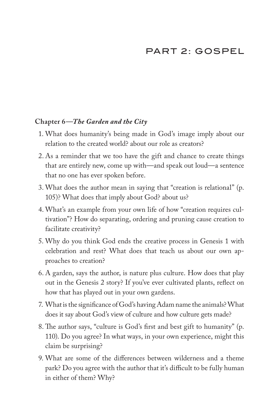# PART 2: GOSPEL

## **Chapter 6—***The Garden and the City*

- 1. What does humanity's being made in God's image imply about our relation to the created world? about our role as creators?
- 2. As a reminder that we too have the gift and chance to create things that are entirely new, come up with—and speak out loud—a sentence that no one has ever spoken before.
- 3. What does the author mean in saying that "creation is relational" (p. 105)? What does that imply about God? about us?
- 4. What's an example from your own life of how "creation requires cultivation"? How do separating, ordering and pruning cause creation to facilitate creativity?
- 5. Why do you think God ends the creative process in Genesis 1 with celebration and rest? What does that teach us about our own approaches to creation?
- 6. A garden, says the author, is nature plus culture. How does that play out in the Genesis 2 story? If you've ever cultivated plants, reflect on how that has played out in your own gardens.
- 7. What is the significance of God's having Adam name the animals? What does it say about God's view of culture and how culture gets made?
- 8. The author says, "culture is God's first and best gift to humanity" (p. 110). Do you agree? In what ways, in your own experience, might this claim be surprising?
- 9. What are some of the differences between wilderness and a theme park? Do you agree with the author that it's difficult to be fully human in either of them? Why?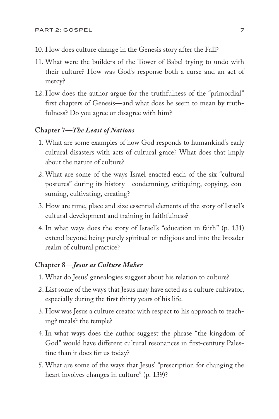- 10. How does culture change in the Genesis story after the Fall?
- 11. What were the builders of the Tower of Babel trying to undo with their culture? How was God's response both a curse and an act of mercy?
- 12. How does the author argue for the truthfulness of the "primordial" first chapters of Genesis—and what does he seem to mean by truthfulness? Do you agree or disagree with him?

#### **Chapter 7—***The Least of Nations*

- 1. What are some examples of how God responds to humankind's early cultural disasters with acts of cultural grace? What does that imply about the nature of culture?
- 2. What are some of the ways Israel enacted each of the six "cultural postures" during its history—condemning, critiquing, copying, consuming, cultivating, creating?
- 3. How are time, place and size essential elements of the story of Israel's cultural development and training in faithfulness?
- 4. In what ways does the story of Israel's "education in faith" (p. 131) extend beyond being purely spiritual or religious and into the broader realm of cultural practice?

#### **Chapter 8—***Jesus as Culture Maker*

- 1. What do Jesus' genealogies suggest about his relation to culture?
- 2. List some of the ways that Jesus may have acted as a culture cultivator, especially during the first thirty years of his life.
- 3. How was Jesus a culture creator with respect to his approach to teaching? meals? the temple?
- 4. In what ways does the author suggest the phrase "the kingdom of God" would have different cultural resonances in first-century Palestine than it does for us today?
- 5. What are some of the ways that Jesus' "prescription for changing the heart involves changes in culture" (p. 139)?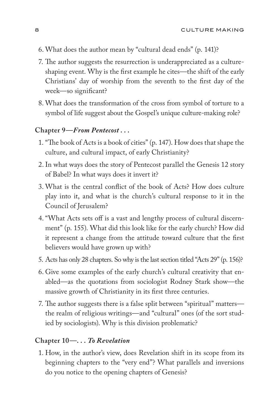- 6. What does the author mean by "cultural dead ends" (p. 141)?
- 7. The author suggests the resurrection is underappreciated as a cultureshaping event. Why is the first example he cites—the shift of the early Christians' day of worship from the seventh to the first day of the week—so significant?
- 8. What does the transformation of the cross from symbol of torture to a symbol of life suggest about the Gospel's unique culture-making role?

#### **Chapter 9—***From Pentecost . . .*

- 1. "The book of Acts is a book of cities" (p. 147). How does that shape the culture, and cultural impact, of early Christianity?
- 2.In what ways does the story of Pentecost parallel the Genesis 12 story of Babel? In what ways does it invert it?
- 3. What is the central conflict of the book of Acts? How does culture play into it, and what is the church's cultural response to it in the Council of Jerusalem?
- 4. "What Acts sets off is a vast and lengthy process of cultural discernment" (p. 155). What did this look like for the early church? How did it represent a change from the attitude toward culture that the first believers would have grown up with?
- 5. Acts has only 28 chapters. So why is the last section titled "Acts 29" (p. 156)?
- 6. Give some examples of the early church's cultural creativity that enabled—as the quotations from sociologist Rodney Stark show—the massive growth of Christianity in its first three centuries.
- 7. The author suggests there is a false split between "spiritual" matters the realm of religious writings—and "cultural" ones (of the sort studied by sociologists). Why is this division problematic?

#### **Chapter 10—***. . . To Revelation*

1. How, in the author's view, does Revelation shift in its scope from its beginning chapters to the "very end"? What parallels and inversions do you notice to the opening chapters of Genesis?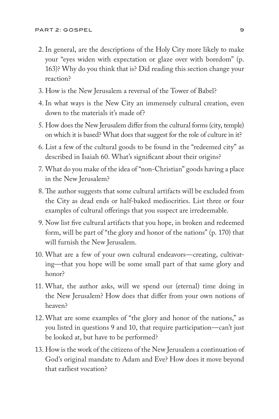- 2.In general, are the descriptions of the Holy City more likely to make your "eyes widen with expectation or glaze over with boredom" (p. 163)? Why do you think that is? Did reading this section change your reaction?
- 3. How is the New Jerusalem a reversal of the Tower of Babel?
- 4. In what ways is the New City an immensely cultural creation, even down to the materials it's made of?
- 5. How does the New Jerusalem differ from the cultural forms (city, temple) on which it is based? What does that suggest for the role of culture in it?
- 6. List a few of the cultural goods to be found in the "redeemed city" as described in Isaiah 60. What's significant about their origins?
- 7. What do you make of the idea of "non-Christian" goods having a place in the New Jerusalem?
- 8. The author suggests that some cultural artifacts will be excluded from the City as dead ends or half-baked mediocrities. List three or four examples of cultural offerings that you suspect are irredeemable.
- 9. Now list five cultural artifacts that you hope, in broken and redeemed form, will be part of "the glory and honor of the nations" (p. 170) that will furnish the New Jerusalem.
- 10. What are a few of your own cultural endeavors—creating, cultivating—that you hope will be some small part of that same glory and honor?
- 11. What, the author asks, will we spend our (eternal) time doing in the New Jerusalem? How does that differ from your own notions of heaven?
- 12.What are some examples of "the glory and honor of the nations," as you listed in questions 9 and 10, that require participation—can't just be looked at, but have to be performed?
- 13. How is the work of the citizens of the New Jerusalem a continuation of God's original mandate to Adam and Eve? How does it move beyond that earliest vocation?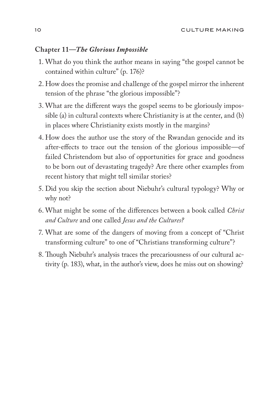## **Chapter 11—***The Glorious Impossible*

- 1. What do you think the author means in saying "the gospel cannot be contained within culture" (p. 176)?
- 2. How does the promise and challenge of the gospel mirror the inherent tension of the phrase "the glorious impossible"?
- 3. What are the different ways the gospel seems to be gloriously impossible (a) in cultural contexts where Christianity is at the center, and (b) in places where Christianity exists mostly in the margins?
- 4. How does the author use the story of the Rwandan genocide and its after-effects to trace out the tension of the glorious impossible—of failed Christendom but also of opportunities for grace and goodness to be born out of devastating tragedy? Are there other examples from recent history that might tell similar stories?
- 5. Did you skip the section about Niebuhr's cultural typology? Why or why not?
- 6. What might be some of the differences between a book called *Christ and Culture* and one called *Jesus and the Cultures?*
- 7. What are some of the dangers of moving from a concept of "Christ transforming culture" to one of "Christians transforming culture"?
- 8. Though Niebuhr's analysis traces the precariousness of our cultural activity (p. 183), what, in the author's view, does he miss out on showing?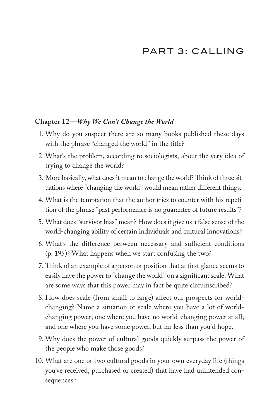# PART 3: CALLING

#### **Chapter 12—***Why We Can't Change the World*

- 1. Why do you suspect there are so many books published these days with the phrase "changed the world" in the title?
- 2. What's the problem, according to sociologists, about the very idea of trying to change the world?
- 3. More basically, what does it mean to change the world? Think of three situations where "changing the world" would mean rather different things.
- 4. What is the temptation that the author tries to counter with his repetition of the phrase "past performance is no guarantee of future results"?
- 5. What does "survivor bias" mean? How does it give us a false sense of the world-changing ability of certain individuals and cultural innovations?
- 6. What's the difference between necessary and sufficient conditions (p. 195)? What happens when we start confusing the two?
- 7. Think of an example of a person or position that at first glance seems to easily have the power to "change the world" on a significant scale. What are some ways that this power may in fact be quite circumscribed?
- 8. How does scale (from small to large) affect our prospects for worldchanging? Name a situation or scale where you have a lot of worldchanging power; one where you have no world-changing power at all; and one where you have some power, but far less than you'd hope.
- 9. Why does the power of cultural goods quickly surpass the power of the people who make those goods?
- 10. What are one or two cultural goods in your own everyday life (things you've received, purchased or created) that have had unintended consequences?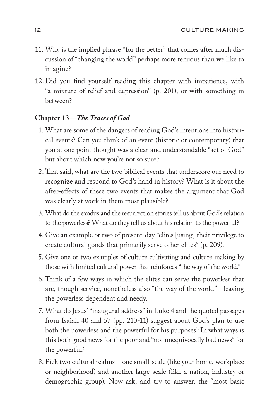- 11. Why is the implied phrase "for the better" that comes after much discussion of "changing the world" perhaps more tenuous than we like to imagine?
- 12. Did you find yourself reading this chapter with impatience, with "a mixture of relief and depression" (p. 201), or with something in between?

# **Chapter 13—***The Traces of God*

- 1. What are some of the dangers of reading God's intentions into historical events? Can you think of an event (historic or contemporary) that you at one point thought was a clear and understandable "act of God" but about which now you're not so sure?
- 2. That said, what are the two biblical events that underscore our need to recognize and respond to God's hand in history? What is it about the after-effects of these two events that makes the argument that God was clearly at work in them most plausible?
- 3. What do the exodus and the resurrection stories tell us about God's relation to the powerless? What do they tell us about his relation to the powerful?
- 4. Give an example or two of present-day "elites [using] their privilege to create cultural goods that primarily serve other elites" (p. 209).
- 5. Give one or two examples of culture cultivating and culture making by those with limited cultural power that reinforces "the way of the world."
- 6. Think of a few ways in which the elites can serve the powerless that are, though service, nonetheless also "the way of the world"—leaving the powerless dependent and needy.
- 7. What do Jesus' "inaugural address" in Luke 4 and the quoted passages from Isaiah 40 and 57 (pp. 210-11) suggest about God's plan to use both the powerless and the powerful for his purposes? In what ways is this both good news for the poor and "not unequivocally bad news" for the powerful?
- 8. Pick two cultural realms—one small-scale (like your home, workplace or neighborhood) and another large-scale (like a nation, industry or demographic group). Now ask, and try to answer, the "most basic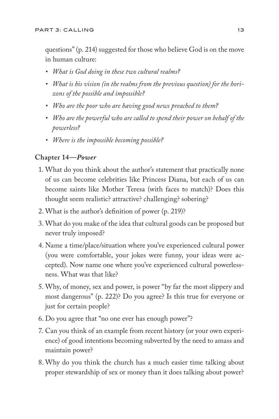questions" (p. 214) suggested for those who believe God is on the move in human culture:

- *• What is God doing in these two cultural realms?*
- *• What is his vision (in the realms from the previous question) for the horizons of the possible and impossible?*
- *• Who are the poor who are having good news preached to them?*
- *• Who are the powerful who are called to spend their power on behalf of the powerless?*
- *• Where is the impossible becoming possible?*

## **Chapter 14—***Power*

- 1. What do you think about the author's statement that practically none of us can become celebrities like Princess Diana, but each of us can become saints like Mother Teresa (with faces to match)? Does this thought seem realistic? attractive? challenging? sobering?
- 2. What is the author's definition of power (p. 219)?
- 3. What do you make of the idea that cultural goods can be proposed but never truly imposed?
- 4. Name a time/place/situation where you've experienced cultural power (you were comfortable, your jokes were funny, your ideas were accepted). Now name one where you've experienced cultural powerlessness. What was that like?
- 5. Why, of money, sex and power, is power "by far the most slippery and most dangerous" (p. 222)? Do you agree? Is this true for everyone or just for certain people?
- 6. Do you agree that "no one ever has enough power"?
- 7. Can you think of an example from recent history (or your own experience) of good intentions becoming subverted by the need to amass and maintain power?
- 8. Why do you think the church has a much easier time talking about proper stewardship of sex or money than it does talking about power?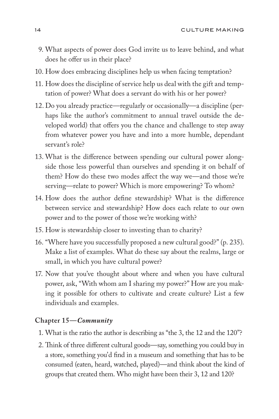- 9. What aspects of power does God invite us to leave behind, and what does he offer us in their place?
- 10. How does embracing disciplines help us when facing temptation?
- 11. How does the discipline of service help us deal with the gift and temptation of power? What does a servant do with his or her power?
- 12. Do you already practice—regularly or occasionally—a discipline (perhaps like the author's commitment to annual travel outside the developed world) that offers you the chance and challenge to step away from whatever power you have and into a more humble, dependant servant's role?
- 13. What is the difference between spending our cultural power alongside those less powerful than ourselves and spending it on behalf of them? How do these two modes affect the way we—and those we're serving—relate to power? Which is more empowering? To whom?
- 14. How does the author define stewardship? What is the difference between service and stewardship? How does each relate to our own power and to the power of those we're working with?
- 15. How is stewardship closer to investing than to charity?
- 16. "Where have you successfully proposed a new cultural good?" (p. 235). Make a list of examples. What do these say about the realms, large or small, in which you have cultural power?
- 17. Now that you've thought about where and when you have cultural power, ask, "With whom am I sharing my power?" How are you making it possible for others to cultivate and create culture? List a few individuals and examples.

#### **Chapter 15—***Community*

- 1. What is the ratio the author is describing as "the 3, the 12 and the 120"?
- 2. Think of three different cultural goods—say, something you could buy in a store, something you'd find in a museum and something that has to be consumed (eaten, heard, watched, played)—and think about the kind of groups that created them. Who might have been their 3, 12 and 120?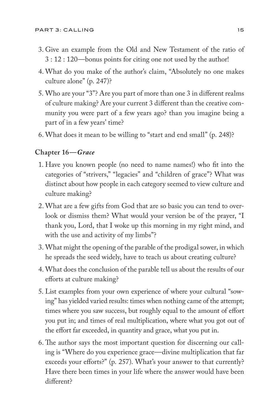- 3. Give an example from the Old and New Testament of the ratio of 3 : 12 : 120—bonus points for citing one not used by the author!
- 4. What do you make of the author's claim, "Absolutely no one makes culture alone" (p. 247)?
- 5. Who are your "3"? Are you part of more than one 3 in different realms of culture making? Are your current 3 different than the creative community you were part of a few years ago? than you imagine being a part of in a few years' time?
- 6. What does it mean to be willing to "start and end small" (p. 248)?

# **Chapter 16—***Grace*

- 1. Have you known people (no need to name names!) who fit into the categories of "strivers," "legacies" and "children of grace"? What was distinct about how people in each category seemed to view culture and culture making?
- 2. What are a few gifts from God that are so basic you can tend to overlook or dismiss them? What would your version be of the prayer, "I thank you, Lord, that I woke up this morning in my right mind, and with the use and activity of my limbs"?
- 3. What might the opening of the parable of the prodigal sower, in which he spreads the seed widely, have to teach us about creating culture?
- 4. What does the conclusion of the parable tell us about the results of our efforts at culture making?
- 5. List examples from your own experience of where your cultural "sowing" has yielded varied results: times when nothing came of the attempt; times where you saw success, but roughly equal to the amount of effort you put in; and times of real multiplication, where what you got out of the effort far exceeded, in quantity and grace, what you put in.
- 6. The author says the most important question for discerning our calling is "Where do you experience grace—divine multiplication that far exceeds your efforts?" (p. 257). What's your answer to that currently? Have there been times in your life where the answer would have been different?